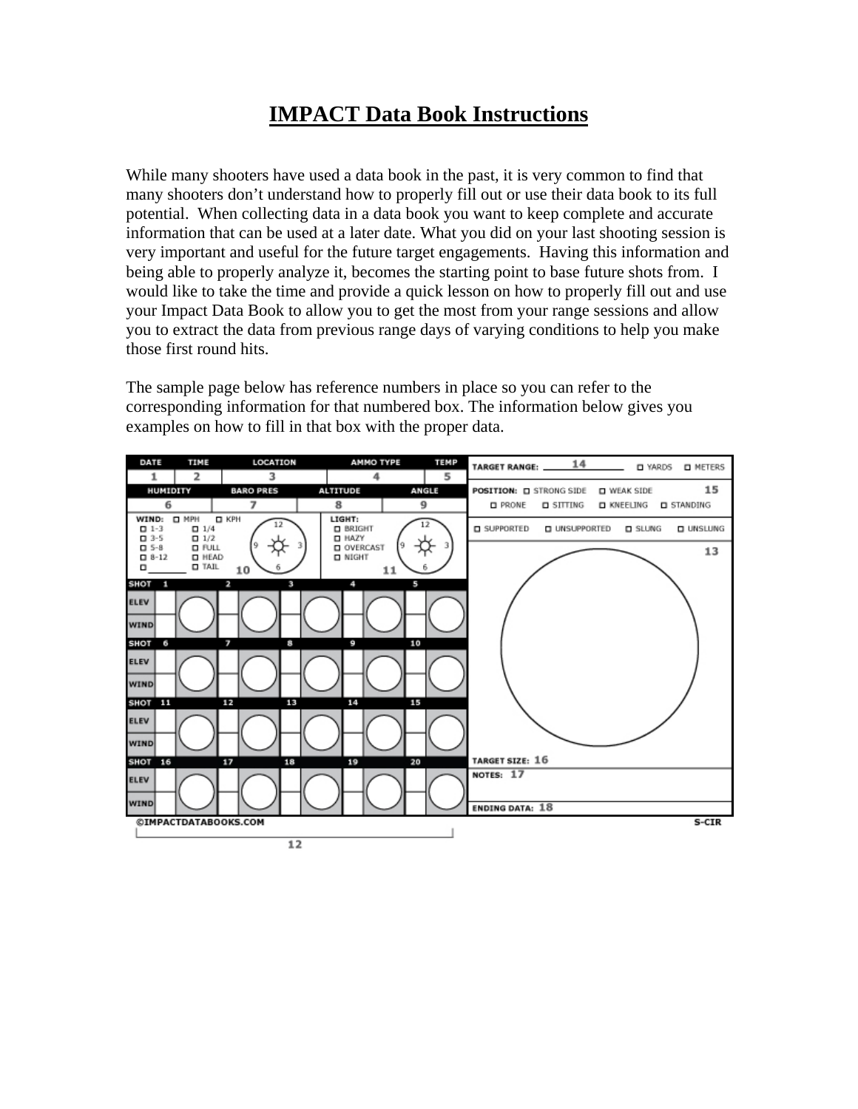## **IMPACT Data Book Instructions**

While many shooters have used a data book in the past, it is very common to find that many shooters don't understand how to properly fill out or use their data book to its full potential. When collecting data in a data book you want to keep complete and accurate information that can be used at a later date. What you did on your last shooting session is very important and useful for the future target engagements. Having this information and being able to properly analyze it, becomes the starting point to base future shots from. I would like to take the time and provide a quick lesson on how to properly fill out and use your Impact Data Book to allow you to get the most from your range sessions and allow you to extract the data from previous range days of varying conditions to help you make those first round hits.

The sample page below has reference numbers in place so you can refer to the corresponding information for that numbered box. The information below gives you examples on how to fill in that box with the proper data.

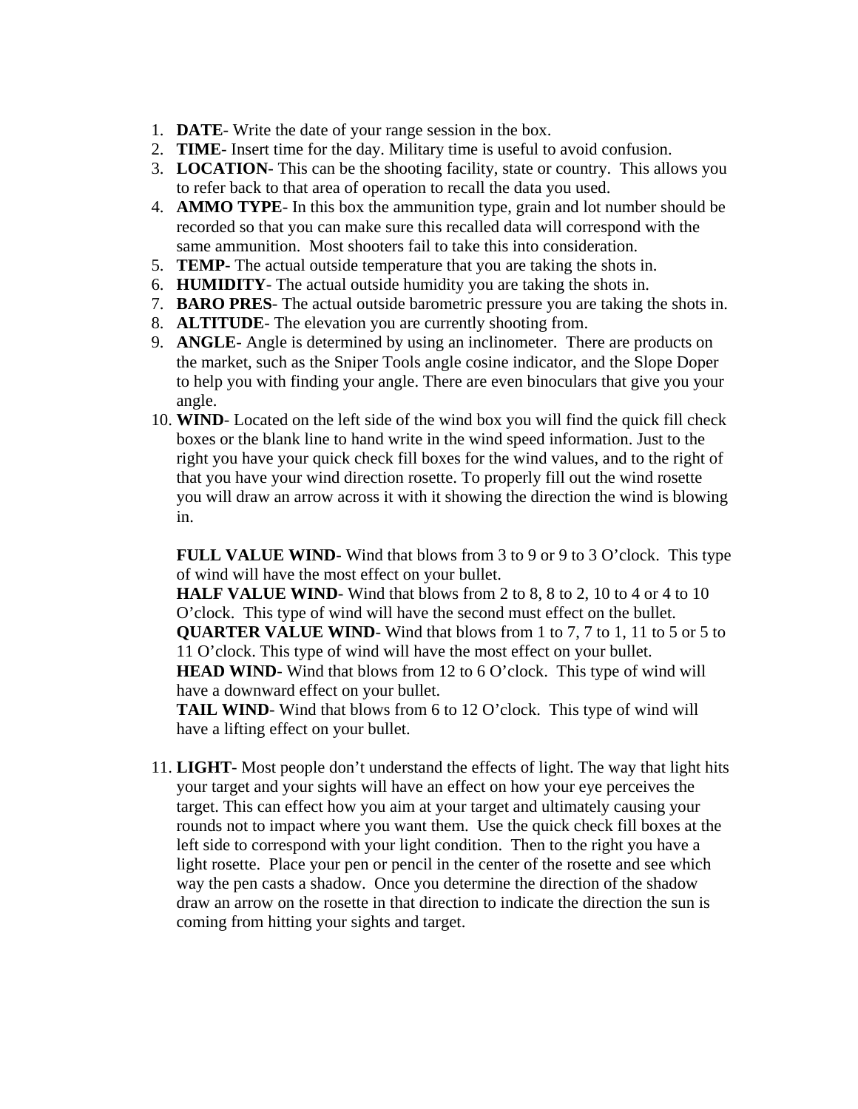- 1. **DATE** Write the date of your range session in the box.
- 2. **TIME** Insert time for the day. Military time is useful to avoid confusion.
- 3. **LOCATION** This can be the shooting facility, state or country. This allows you to refer back to that area of operation to recall the data you used.
- 4. **AMMO TYPE** In this box the ammunition type, grain and lot number should be recorded so that you can make sure this recalled data will correspond with the same ammunition. Most shooters fail to take this into consideration.
- 5. **TEMP** The actual outside temperature that you are taking the shots in.
- 6. **HUMIDITY** The actual outside humidity you are taking the shots in.
- 7. **BARO PRES** The actual outside barometric pressure you are taking the shots in.
- 8. **ALTITUDE** The elevation you are currently shooting from.
- 9. **ANGLE** Angle is determined by using an inclinometer. There are products on the market, such as the Sniper Tools angle cosine indicator, and the Slope Doper to help you with finding your angle. There are even binoculars that give you your angle.
- 10. **WIND** Located on the left side of the wind box you will find the quick fill check boxes or the blank line to hand write in the wind speed information. Just to the right you have your quick check fill boxes for the wind values, and to the right of that you have your wind direction rosette. To properly fill out the wind rosette you will draw an arrow across it with it showing the direction the wind is blowing in.

**FULL VALUE WIND**-Wind that blows from 3 to 9 or 9 to 3 O'clock. This type of wind will have the most effect on your bullet.

**HALF VALUE WIND**-Wind that blows from 2 to 8, 8 to 2, 10 to 4 or 4 to 10 O'clock. This type of wind will have the second must effect on the bullet. **QUARTER VALUE WIND**- Wind that blows from 1 to 7, 7 to 1, 11 to 5 or 5 to 11 O'clock. This type of wind will have the most effect on your bullet. **HEAD WIND**- Wind that blows from 12 to 6 O'clock. This type of wind will have a downward effect on your bullet.

**TAIL WIND**- Wind that blows from 6 to 12 O'clock. This type of wind will have a lifting effect on your bullet.

11. **LIGHT**- Most people don't understand the effects of light. The way that light hits your target and your sights will have an effect on how your eye perceives the target. This can effect how you aim at your target and ultimately causing your rounds not to impact where you want them. Use the quick check fill boxes at the left side to correspond with your light condition. Then to the right you have a light rosette. Place your pen or pencil in the center of the rosette and see which way the pen casts a shadow. Once you determine the direction of the shadow draw an arrow on the rosette in that direction to indicate the direction the sun is coming from hitting your sights and target.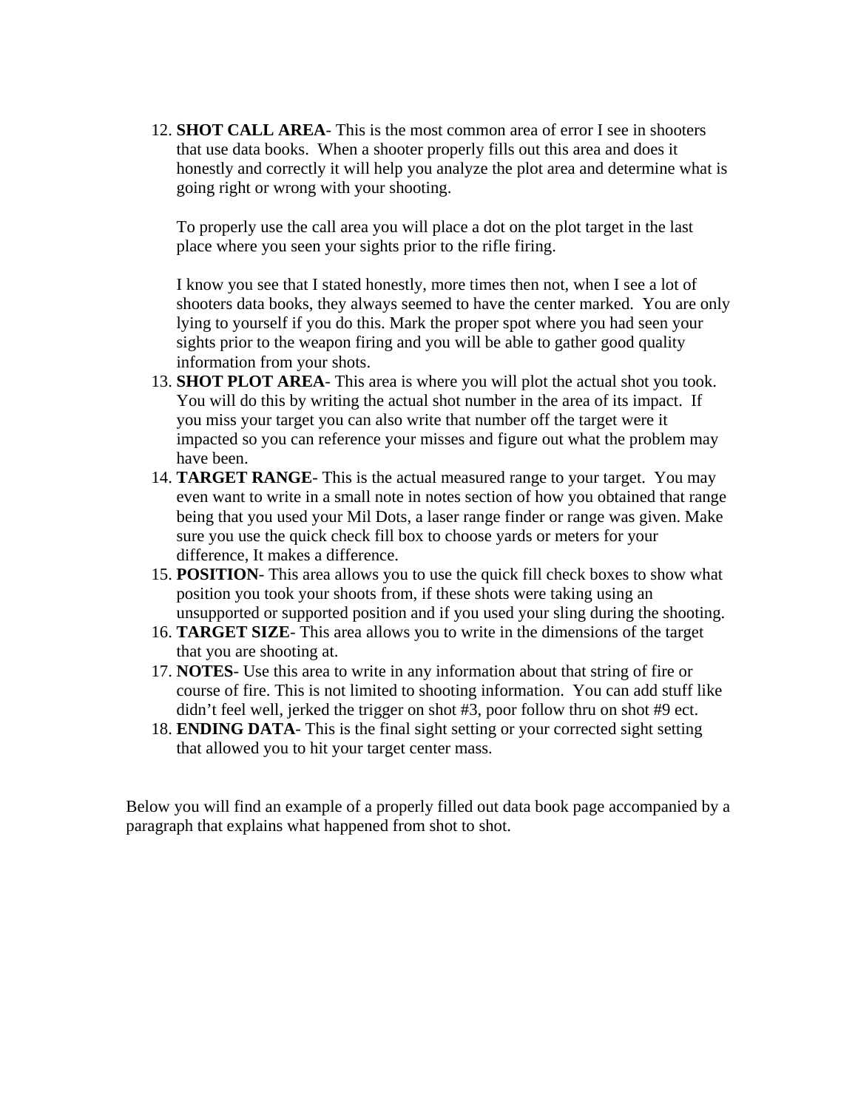12. **SHOT CALL AREA**- This is the most common area of error I see in shooters that use data books. When a shooter properly fills out this area and does it honestly and correctly it will help you analyze the plot area and determine what is going right or wrong with your shooting.

To properly use the call area you will place a dot on the plot target in the last place where you seen your sights prior to the rifle firing.

I know you see that I stated honestly, more times then not, when I see a lot of shooters data books, they always seemed to have the center marked. You are only lying to yourself if you do this. Mark the proper spot where you had seen your sights prior to the weapon firing and you will be able to gather good quality information from your shots.

- 13. **SHOT PLOT AREA** This area is where you will plot the actual shot you took. You will do this by writing the actual shot number in the area of its impact. If you miss your target you can also write that number off the target were it impacted so you can reference your misses and figure out what the problem may have been.
- 14. **TARGET RANGE** This is the actual measured range to your target. You may even want to write in a small note in notes section of how you obtained that range being that you used your Mil Dots, a laser range finder or range was given. Make sure you use the quick check fill box to choose yards or meters for your difference, It makes a difference.
- 15. **POSITION** This area allows you to use the quick fill check boxes to show what position you took your shoots from, if these shots were taking using an unsupported or supported position and if you used your sling during the shooting.
- 16. **TARGET SIZE** This area allows you to write in the dimensions of the target that you are shooting at.
- 17. **NOTES** Use this area to write in any information about that string of fire or course of fire. This is not limited to shooting information. You can add stuff like didn't feel well, jerked the trigger on shot #3, poor follow thru on shot #9 ect.
- 18. **ENDING DATA** This is the final sight setting or your corrected sight setting that allowed you to hit your target center mass.

Below you will find an example of a properly filled out data book page accompanied by a paragraph that explains what happened from shot to shot.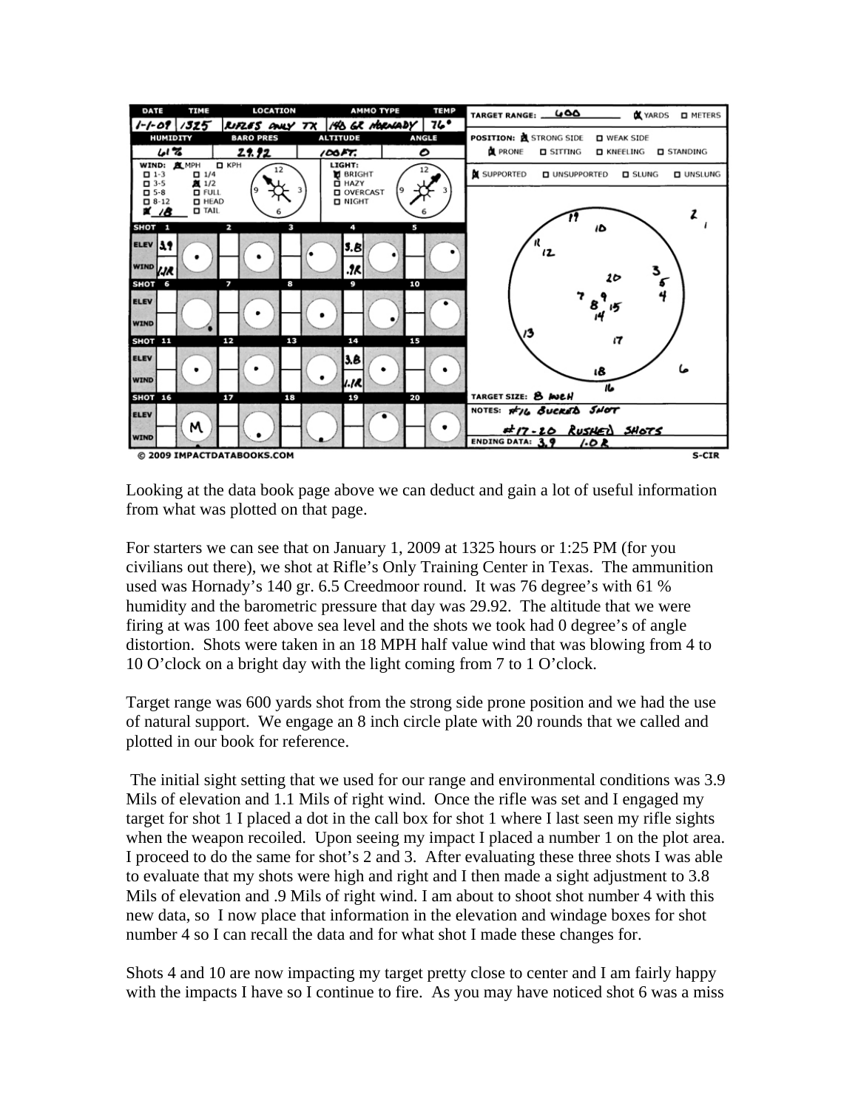

Looking at the data book page above we can deduct and gain a lot of useful information from what was plotted on that page.

For starters we can see that on January 1, 2009 at 1325 hours or 1:25 PM (for you civilians out there), we shot at Rifle's Only Training Center in Texas. The ammunition used was Hornady's 140 gr. 6.5 Creedmoor round. It was 76 degree's with 61 % humidity and the barometric pressure that day was 29.92. The altitude that we were firing at was 100 feet above sea level and the shots we took had 0 degree's of angle distortion. Shots were taken in an 18 MPH half value wind that was blowing from 4 to 10 O'clock on a bright day with the light coming from 7 to 1 O'clock.

Target range was 600 yards shot from the strong side prone position and we had the use of natural support. We engage an 8 inch circle plate with 20 rounds that we called and plotted in our book for reference.

 The initial sight setting that we used for our range and environmental conditions was 3.9 Mils of elevation and 1.1 Mils of right wind. Once the rifle was set and I engaged my target for shot 1 I placed a dot in the call box for shot 1 where I last seen my rifle sights when the weapon recoiled. Upon seeing my impact I placed a number 1 on the plot area. I proceed to do the same for shot's 2 and 3. After evaluating these three shots I was able to evaluate that my shots were high and right and I then made a sight adjustment to 3.8 Mils of elevation and .9 Mils of right wind. I am about to shoot shot number 4 with this new data, so I now place that information in the elevation and windage boxes for shot number 4 so I can recall the data and for what shot I made these changes for.

Shots 4 and 10 are now impacting my target pretty close to center and I am fairly happy with the impacts I have so I continue to fire. As you may have noticed shot 6 was a miss